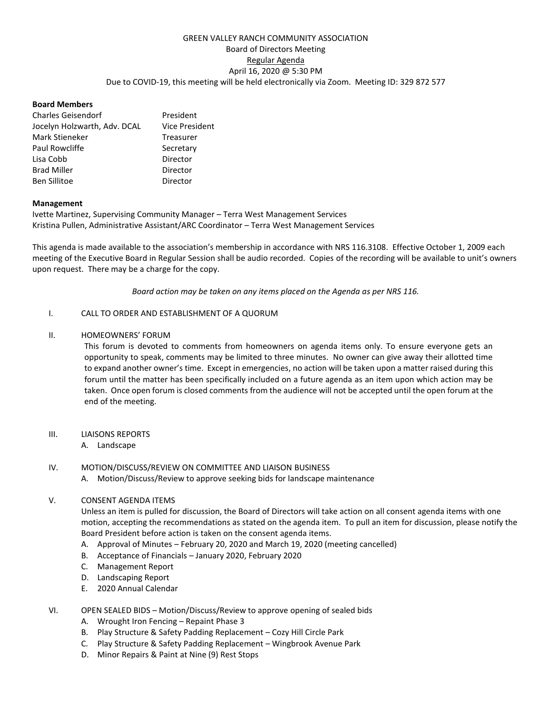# GREEN VALLEY RANCH COMMUNITY ASSOCIATION Board of Directors Meeting Regular Agenda April 16, 2020 @ 5:30 PM Due to COVID-19, this meeting will be held electronically via Zoom. Meeting ID: 329 872 577

## **Board Members**

| <b>Charles Geisendorf</b>    | President             |
|------------------------------|-----------------------|
| Jocelyn Holzwarth, Adv. DCAL | <b>Vice President</b> |
| Mark Stieneker               | Treasurer             |
| Paul Rowcliffe               | Secretary             |
| Lisa Cobb                    | Director              |
| <b>Brad Miller</b>           | Director              |
| <b>Ben Sillitoe</b>          | Director              |

#### **Management**

Ivette Martinez, Supervising Community Manager – Terra West Management Services Kristina Pullen, Administrative Assistant/ARC Coordinator – Terra West Management Services

This agenda is made available to the association's membership in accordance with NRS 116.3108. Effective October 1, 2009 each meeting of the Executive Board in Regular Session shall be audio recorded. Copies of the recording will be available to unit's owners upon request. There may be a charge for the copy.

*Board action may be taken on any items placed on the Agenda as per NRS 116.*

#### I. CALL TO ORDER AND ESTABLISHMENT OF A QUORUM

#### II. HOMEOWNERS' FORUM

This forum is devoted to comments from homeowners on agenda items only. To ensure everyone gets an opportunity to speak, comments may be limited to three minutes. No owner can give away their allotted time to expand another owner's time. Except in emergencies, no action will be taken upon a matter raised during this forum until the matter has been specifically included on a future agenda as an item upon which action may be taken. Once open forum is closed comments from the audience will not be accepted until the open forum at the end of the meeting.

## III. LIAISONS REPORTS

## A. Landscape

## IV. MOTION/DISCUSS/REVIEW ON COMMITTEE AND LIAISON BUSINESS

A. Motion/Discuss/Review to approve seeking bids for landscape maintenance

## V. CONSENT AGENDA ITEMS

Unless an item is pulled for discussion, the Board of Directors will take action on all consent agenda items with one motion, accepting the recommendations as stated on the agenda item. To pull an item for discussion, please notify the Board President before action is taken on the consent agenda items.

- A. Approval of Minutes February 20, 2020 and March 19, 2020 (meeting cancelled)
- B. Acceptance of Financials January 2020, February 2020
- C. Management Report
- D. Landscaping Report
- E. 2020 Annual Calendar
- VI. OPEN SEALED BIDS Motion/Discuss/Review to approve opening of sealed bids
	- A. Wrought Iron Fencing Repaint Phase 3
	- B. Play Structure & Safety Padding Replacement Cozy Hill Circle Park
	- C. Play Structure & Safety Padding Replacement Wingbrook Avenue Park
	- D. Minor Repairs & Paint at Nine (9) Rest Stops